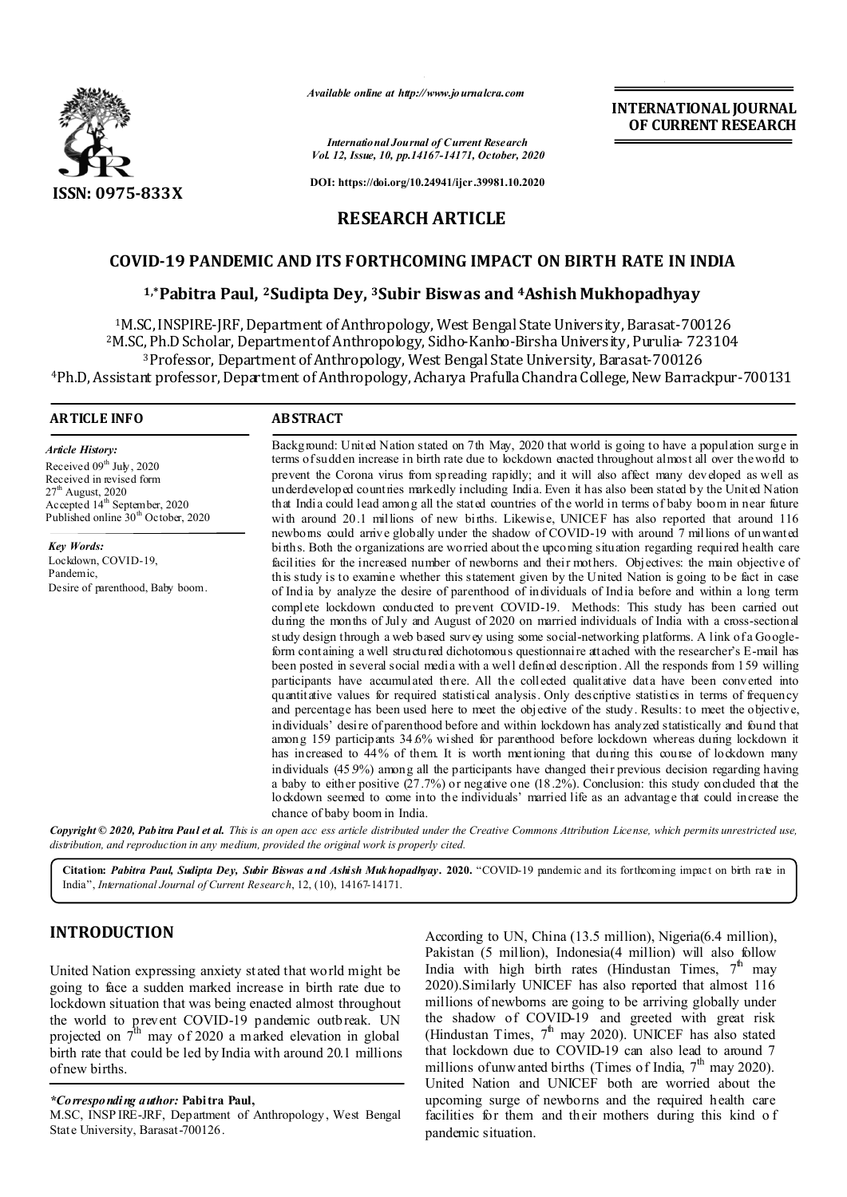

*Available online at http://www.journalcra.com*

*International Journal of Current Research Vol. 12, Issue, 10, pp.14167-14171, October, 2020*

**DOI: https://doi.org/10.24941/ijcr.39981.10.2020**

# **RESEARCH ARTICLE**

# **COVID-19 PANDEMIC AND ITS FORTHCOMING IMPACT ON BIRTH RATE IN INDIA**

## **1,\*Pabitra Paul, 2Sudipta Dey, 3Subir Biswas and 4Ashish Mukhopadhyay**

1M.SC, INSPIRE-JRF, Department of Anthropology, West Bengal State University, Barasat-700126 2M.SC, Ph.D Scholar, Department of Anthropology, Sidho-Kanho-Birsha University, Purulia- 723104 3Professor, Department of Anthropology, West Bengal State University, Barasat-700126 4Ph.D, Assistant professor, Department of Anthropology, Acharya Prafulla Chandra College, New Barrackpur-700131

## **ARTICLE INFO ABSTRACT**

*Article History:* Received  $09<sup>th</sup>$  July, 2020 Received in revised form  $27<sup>th</sup>$  August, 2020 Accepted 14<sup>th</sup> September, 2020 Published online 30<sup>th</sup> October, 2020

*Key Words:* Lockdown, COVID-19, Pandemic, Desire of parenthood, Baby boom. Background: United Nation stated on 7th May, 2020 that world is going to have a population surge in terms of sudden increase in birth rate due to lockdown enacted throughout almost all over the world to prevent the Corona virus from spreading rapidly; and it will also affect many developed as well as underdeveloped countries markedly including India. Even it has also been stated by the United Nation that India could lead among all the stated countries of the world in terms of baby boom in near future with around 20.1 millions of new births. Likewise, UNICEF has also reported that around 116 newborns could arrive globally under the shadow of COVID-19 with around 7 millions of unwanted births. Both the organizations are worried about the upcoming situation regarding required health care facilities for the increased number of newborns and their mothers. Objectives: the main objective of this study is to examine whether this statement given by the United Nation is going to be fact in case of India by analyze the desire of parenthood of individuals of India before and within a long term complete lockdown conducted to prevent COVID-19. Methods: This study has been carried out during the months of July and August of 2020 on married individuals of India with a cross-sectional study design through a web based survey using some social-networking platforms. A link of a Googleform containing a well structured dichotomous questionnaire attached with the researcher's E-mail has been posted in several social media with a well defined description. All the responds from 159 willing participants have accumulated there. All the collected qualitative data have been converted into quantitative values for required statistical analysis. Only descriptive statistics in terms of frequency and percentage has been used here to meet the objective of the study. Results: to meet the objective, individuals' desire of parenthood before and within lockdown has analyzed statistically and found that among 159 participants 34.6% wished for parenthood before lockdown whereas during lockdown it has increased to 44% of them. It is worth mentioning that during this course of lockdown many individuals (45.9%) among all the participants have changed their previous decision regarding having a baby to either positive  $(27.7%)$  or negative one (18.2%). Conclusion: this study concluded that the lockdown seemed to come into the individuals' married life as an advantage that could increase the chance of baby boom in India.

**INTERNATIONAL JOURNAL OF CURRENT RESEARCH**

Copyright © 2020, Pabitra Paul et al. This is an open acc ess article distributed under the Creative Commons Attribution License, which permits unrestricted use, *distribution, and reproduction in any medium, provided the original work is properly cited.*

**Citation:** *Pabitra Paul, Sudipta Dey, Subir Biswas and Ashish Mukhopadhyay .* **2020.** "COVID-19 pandemic and its forthcoming impact on birth rate in India", *International Journal of Current Research*, 12, (10), 14167-14171.

# **INTRODUCTION**

United Nation expressing anxiety st ated that world might be going to face a sudden marked increase in birth rate due to lockdown situation that was being enacted almost throughout the world to prevent COVID-19 pandemic outbreak. UN projected on  $7<sup>th</sup>$  may of 2020 a marked elevation in global birth rate that could be led by India with around 20.1 millions of new births.

## *\*Corresponding author:* **Pabitra Paul,**

M.SC, INSP IRE-JRF, Department of Anthropology, West Bengal State University, Barasat-700126.

According to UN, China (13.5 million), Nigeria(6.4 million), Pakistan (5 million), Indonesia(4 million) will also follow India with high birth rates (Hindustan Times,  $7^{\text{th}}$  may 2020).Similarly UNICEF has also reported that almost 116 millions of newborns are going to be arriving globally under the shadow of COVID-19 and greeted with great risk (Hindustan Times,  $7^{\text{th}}$  may 2020). UNICEF has also stated that lockdown due to COVID-19 can also lead to around 7 millions of unw anted births (Times of India,  $7<sup>th</sup>$  may 2020). United Nation and UNICEF both are worried about the upcoming surge of newborns and the required health care facilities for them and their mothers during this kind of pandemic situation.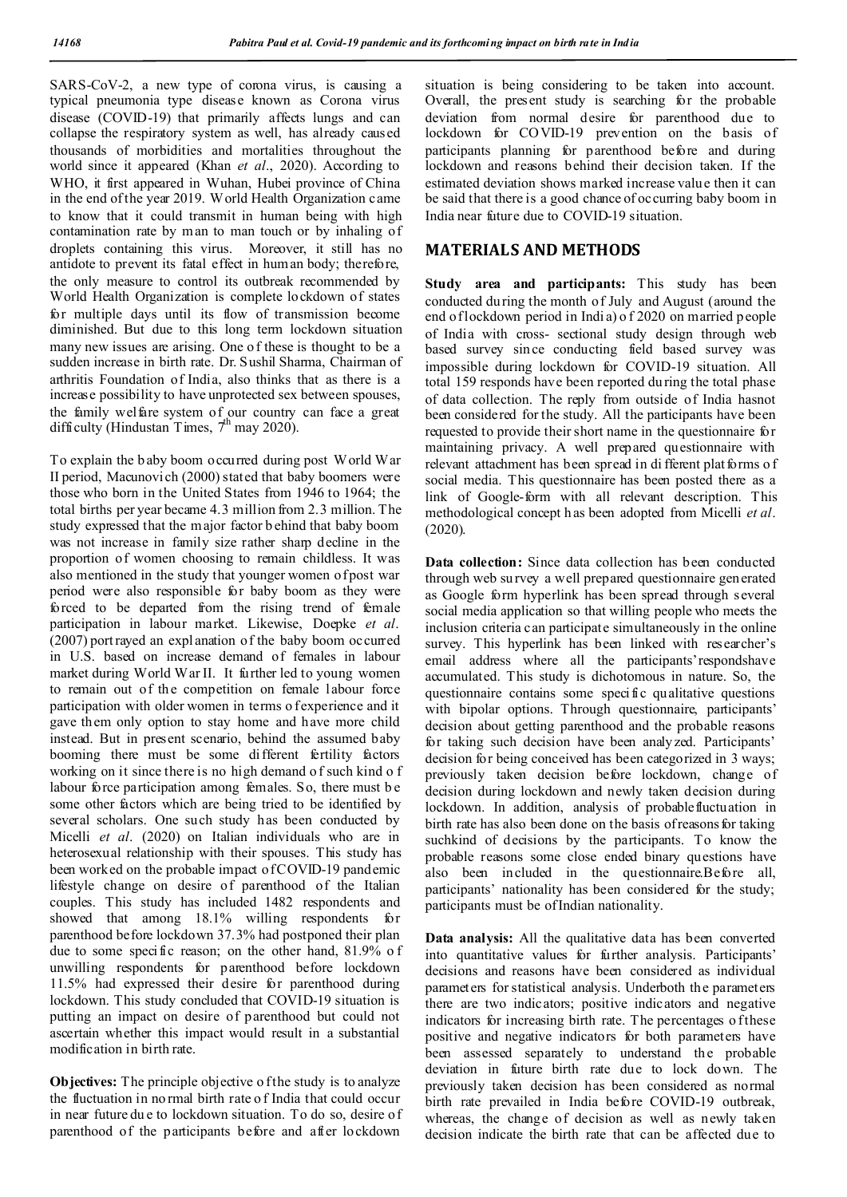SARS-CoV-2, a new type of corona virus, is causing a typical pneumonia type disease known as Corona virus disease (COVID-19) that primarily affects lungs and can collapse the respiratory system as well, has already caused thousands of morbidities and mortalities throughout the world since it appeared (Khan *et al.*, 2020). According to WHO, it first appeared in Wuhan, Hubei province of China in the end of the year 2019. World Health Organization came to know that it could transmit in human being with high contamination rate by man to man touch or by inhaling of droplets containing this virus. Moreover, it still has no antidote to prevent its fatal effect in human body; therefore, the only measure to control its outbreak recommended by World Health Organization is complete lockdown of states for multiple days until its flow of transmission become diminished. But due to this long term lockdown situation many new issues are arising. One of these is thought to be a sudden increase in birth rate. Dr. Sushil Sharma, Chairman of arthritis Foundation of India, also thinks that as there is a increase possibility to have unprotected sex between spouses, the family welfare system of our country can face a great difficulty (Hindustan Times,  $7^{\text{th}}$  may 2020).

To explain the b aby boom occurred during post World War II period, Macunovich (2000) stated that baby boomers were those who born in the United States from 1946 to 1964; the total births per year became 4.3 million from 2.3 million. The study expressed that the major factor b ehind that baby boom was not increase in family size rather sharp decline in the proportion of women choosing to remain childless. It was also mentioned in the study that younger women of post war period were also responsible for baby boom as they were forced to be departed from the rising trend of female participation in labour market. Likewise, Doepke *et al*. (2007) port rayed an expl anation of the baby boom occurred in U.S. based on increase demand of females in labour market during World War II. It further led to young women to remain out of the competition on female labour force participation with older women in terms o f experience and it gave them only option to stay home and have more child instead. But in present scenario, behind the assumed baby booming there must be some different fertility factors working on it since there is no high demand o f such kind o f labour force participation among females. So, there must b e some other factors which are being tried to be identified by several scholars. One such study has been conducted by Micelli *et al*. (2020) on Italian individuals who are in heterosexual relationship with their spouses. This study has been worked on the probable impact of COVID-19 pandemic lifestyle change on desire of parenthood of the Italian couples. This study has included 1482 respondents and showed that among 18.1% willing respondents for parenthood before lockdown 37.3% had postponed their plan due to some specific reason; on the other hand, 81.9% o f unwilling respondents for parenthood before lockdown 11.5% had expressed their desire for parenthood during lockdown. This study concluded that COVID-19 situation is putting an impact on desire of parenthood but could not ascertain whether this impact would result in a substantial modification in birth rate.

**Objectives:** The principle objective of the study is to analyze the fluctuation in no rmal birth rate o f India that could occur in near future du e to lockdown situation. To do so, desire of parenthood of the participants before and after lockdown

situation is being considering to be taken into account. Overall, the present study is searching for the probable deviation from normal desire for parenthood due to lockdown for COVID-19 prevention on the basis of participants planning for parenthood before and during lockdown and reasons behind their decision taken. If the estimated deviation shows marked increase valu e then it can be said that there is a good chance of occurring baby boom in India near future due to COVID-19 situation.

## **MATERIALS AND METHODS**

**Study area and participants:** This study has been conducted du ring the month of July and August (around the end of lockdown period in Indi a) o f 2020 on married people of India with cross- sectional study design through web based survey sin ce conducting field based survey was impossible during lockdown for COVID-19 situation. All total 159 responds have been reported du ring the total phase of data collection. The reply from outside of India hasnot been considered for the study. All the participants have been requested to provide their short name in the questionnaire for maintaining privacy. A well prepared questionnaire with relevant attachment has been spread in di fferent plat forms o f social media. This questionnaire has been posted there as a link of Google-form with all relevant description. This methodological concept h as been adopted from Micelli *et al*. (2020).

**Data collection:** Since data collection has been conducted through web su rvey a well prepared questionnaire generated as Google form hyperlink has been spread through several social media application so that willing people who meets the inclusion criteria can participate simultaneously in the online survey. This hyperlink has been linked with researcher's email address where all the participants'respondshave accumulated. This study is dichotomous in nature. So, the questionnaire contains some specific qualitative questions with bipolar options. Through questionnaire, participants' decision about getting parenthood and the probable reasons for taking such decision have been analyzed. Participants' decision for being conceived has been categorized in 3 ways; previously taken decision before lockdown, change of decision during lockdown and newly taken decision during lockdown. In addition, analysis of probablefluctuation in birth rate has also been done on the basis of reasons for taking suchkind of decisions by the participants. To know the probable reasons some close ended binary questions have also been included in the questionnaire.Before all, participants' nationality has been considered for the study; participants must be of Indian nationality.

**Data analysis:** All the qualitative data has been converted into quantitative values for further analysis. Participants' decisions and reasons have been considered as individual parameters for statistical analysis. Underboth the parameters there are two indicators; positive indicators and negative indicators for increasing birth rate. The percentages o f these positive and negative indicators for both parameters have been assessed separately to understand the probable deviation in future birth rate due to lock down. The previously taken decision has been considered as normal birth rate prevailed in India before COVID-19 outbreak, whereas, the change of decision as well as newly taken decision indicate the birth rate that can be affected due to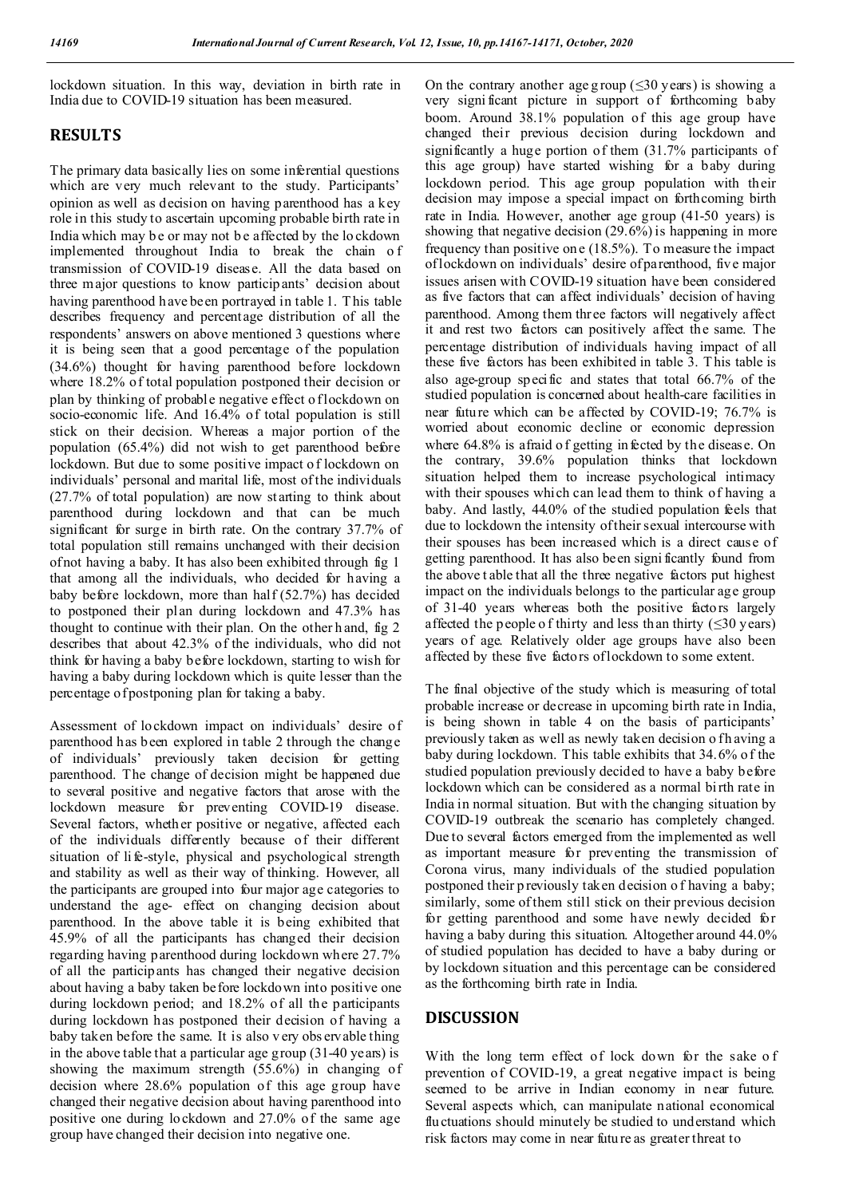lockdown situation. In this way, deviation in birth rate in India due to COVID-19 situation has been measured.

# **RESULTS**

The primary data basically lies on some inferential questions which are very much relevant to the study. Participants' opinion as well as decision on having parenthood has a key role in this study to ascertain upcoming probable birth rate in India which may be or may not be affected by the lockdown implemented throughout India to break the chain o f transmission of COVID-19 disease. All the data based on three major questions to know participants' decision about having parenthood h ave been portrayed in table 1. T his table describes frequency and percentage distribution of all the respondents' answers on above mentioned 3 questions where it is being seen that a good percentage of the population (34.6%) thought for having parenthood before lockdown where 18.2% of total population postponed their decision or plan by thinking of probable negative effect o f lockdown on socio-economic life. And 16.4% of total population is still stick on their decision. Whereas a major portion of the population (65.4%) did not wish to get parenthood before lockdown. But due to some positive impact o f lockdown on individuals' personal and marital life, most of the individuals (27.7% of total population) are now st arting to think about parenthood during lockdown and that can be much significant for surge in birth rate. On the contrary 37.7% of total population still remains unchanged with their decision of not having a baby. It has also been exhibited through fig 1 that among all the individuals, who decided for having a baby before lockdown, more than half (52.7%) has decided to postponed their plan during lockdown and 47.3% has thought to continue with their plan. On the other h and, fig 2 describes that about 42.3% of the individuals, who did not think for having a baby before lockdown, starting to wish for having a baby during lockdown which is quite lesser than the percentage of postponing plan for taking a baby.

Assessment of lockdown impact on individuals' desire of parenthood has been explored in table 2 through the change of individuals' previously taken decision for getting parenthood. The change of decision might be happened due to several positive and negative factors that arose with the lockdown measure for preventing COVID-19 disease. Several factors, whether positive or negative, affected each of the individuals differently because of their different situation of li fe-style, physical and psychological strength and stability as well as their way of thinking. However, all the participants are grouped into four major age categories to understand the age- effect on changing decision about parenthood. In the above table it is being exhibited that 45.9% of all the participants has changed their decision regarding having parenthood during lockdown where 27.7% of all the participants has changed their negative decision about having a baby taken before lockdown into positive one during lockdown period; and 18.2% of all the participants during lockdown has postponed their decision of having a baby taken before the same. It is also v ery obs ervable thing in the above table that a particular age group (31-40 years) is showing the maximum strength (55.6%) in changing of decision where 28.6% population of this age group have changed their negative decision about having parenthood into positive one during lockdown and 27.0% of the same age group have changed their decision into negative one.

On the contrary another age g roup ( $\leq 30$  years) is showing a very signi ficant picture in support of forthcoming baby boom. Around 38.1% population of this age group have changed their previous decision during lockdown and significantly a huge portion of them (31.7% participants of this age group) have started wishing for a baby during lockdown period. This age group population with their decision may impose a special impact on forthcoming birth rate in India. However, another age group (41-50 years) is showing that negative decision (29.6%) is happening in more frequency than positive on e (18.5%). To measure the impact of lockdown on individuals' desire of parenthood, five major issues arisen with COVID-19 situation have been considered as five factors that can affect individuals' decision of having parenthood. Among them three factors will negatively affect it and rest two factors can positively affect the same. The percentage distribution of individuals having impact of all these five factors has been exhibited in table 3. T his table is also age-group specific and states that total 66.7% of the studied population is concerned about health-care facilities in near future which can be affected by COVID-19; 76.7% is worried about economic decline or economic depression where 64.8% is a fraid of getting in fected by the disease. On the contrary, 39.6% population thinks that lockdown situation helped them to increase psychological intimacy with their spouses which can lead them to think of having a baby. And lastly, 44.0% of the studied population feels that due to lockdown the intensity of their sexual intercourse with their spouses has been increased which is a direct cause of getting parenthood. It has also been signi ficantly found from the above t able that all the three negative factors put highest impact on the individuals belongs to the particular age group of 31-40 years whereas both the positive factors largely affected the people of thirty and less than thirty  $(\leq 30 \text{ years})$ years of age. Relatively older age groups have also been affected by these five factors of lockdown to some extent.

The final objective of the study which is measuring of total probable increase or decrease in upcoming birth rate in India, is being shown in table 4 on the basis of participants' previously taken as well as newly taken decision o fh aving a baby during lockdown. This table exhibits that 34.6% of the studied population previously decided to have a baby before lockdown which can be considered as a normal birth rate in India in normal situation. But with the changing situation by COVID-19 outbreak the scenario has completely changed. Due to several factors emerged from the implemented as well as important measure for preventing the transmission of Corona virus, many individuals of the studied population postponed their p reviously taken decision o f having a baby; similarly, some of them still stick on their previous decision for getting parenthood and some have newly decided for having a baby during this situation. Altogether around 44.0% of studied population has decided to have a baby during or by lockdown situation and this percentage can be considered as the forthcoming birth rate in India.

# **DISCUSSION**

With the long term effect of lock down for the sake of prevention of COVID-19, a great negative impact is being seemed to be arrive in Indian economy in near future. Several aspects which, can manipulate national economical fluctuations should minutely be studied to understand which risk factors may come in near future as greater threat to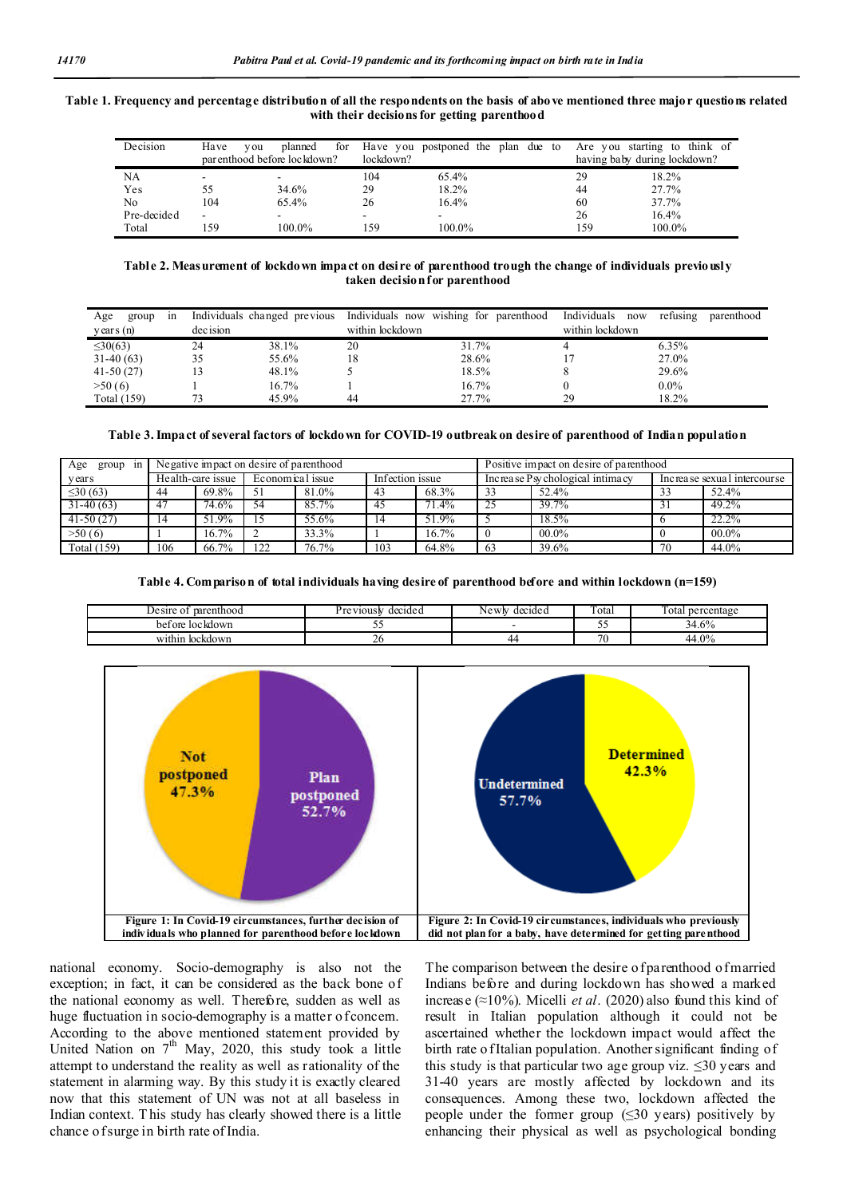## **Table 1. Frequency and percentage distribution of all the respondents on the basis of above mentioned three major questions related with their decisions for getting parenthood**

| Decision    | Have | planned<br>y ou             | for |           | Have you postponed the plan due to |  |  |     | Are you starting to think of |  |
|-------------|------|-----------------------------|-----|-----------|------------------------------------|--|--|-----|------------------------------|--|
|             |      | parenthood before lockdown? |     | lockdown? |                                    |  |  |     | having baby during lockdown? |  |
| NA          |      |                             |     | 104       | 65.4%                              |  |  | 29  | 18.2%                        |  |
| Yes         | 55   | 34.6%                       | 29  |           | 18.2%                              |  |  | 44  | 27.7%                        |  |
| No          | 104  | 65.4%                       | 26  |           | 16.4%                              |  |  | 60  | 37.7%                        |  |
| Pre-decided | ۰    |                             |     |           |                                    |  |  | 26  | 16.4%                        |  |
| Total       | 159  | 100.0%                      |     | 159       | 100.0%                             |  |  | 159 | 100.0%                       |  |

#### **Table 2. Measurement of lockdown impact on desire of parenthood trough the change of individuals previously taken decision for parenthood**

| Age<br>1n<br>group  | Individuals changed previous |       | Individuals now | wishing for<br>parenthood | Individuals<br>now | refusing | parenthood |
|---------------------|------------------------------|-------|-----------------|---------------------------|--------------------|----------|------------|
| $\gamma$ ears $(n)$ | dec ision                    |       | within lockdown |                           | within lockdown    |          |            |
| $\leq 30(63)$       | 24                           | 38.1% | 20              | 31.7%                     |                    | 6.35%    |            |
| $31-40(63)$         | 35                           | 55.6% | 18              | 28.6%                     |                    | 27.0%    |            |
| $41-50(27)$         |                              | 48.1% |                 | 18.5%                     |                    | 29.6%    |            |
| >50(6)              |                              | 16.7% |                 | 16.7%                     |                    | $0.0\%$  |            |
| Total (159)         |                              | 45.9% | 44              | 27.7%                     | 29                 | 18.2%    |            |

#### **Table 3.Impact of several factors of lockdown for COVID-19 outbreak on desire of parenthood of Indian population**

| Age<br>group<br>1n | Negative impact on desire of parenthood |                     |                  |       |                 |          |    | Positive impact on desire of parenthood |                             |          |  |  |
|--------------------|-----------------------------------------|---------------------|------------------|-------|-----------------|----------|----|-----------------------------------------|-----------------------------|----------|--|--|
| y ear s            | Health-care issue                       |                     | Economical issue |       | Infection issue |          |    | Increase Psy chological intimacy        | Increase sexual intercourse |          |  |  |
| $\leq 30(63)$      | 44                                      | 69.8%               | 51               | 81.0% | 43              | 68.3%    |    | 52.4%                                   |                             | 52.4%    |  |  |
| $31-40(63)$        | 47                                      | $74.\overline{6\%}$ | 54               | 85.7% | 45              | 71.4%    |    | 39.7%                                   |                             | 49.2%    |  |  |
| $41-50(27)$        | 14                                      | 51.9%               |                  | 55.6% | 14              | 51.9%    |    | 18.5%                                   |                             | $22.2\%$ |  |  |
| >50(6)             |                                         | 16.7%               |                  | 33.3% |                 | $16.7\%$ |    | $00.0\%$                                |                             | $00.0\%$ |  |  |
| Total (159)        | 106                                     | 66.7%               | 122              | 76.7% | 103             | 64.8%    | 63 | 39.6%                                   | 70                          | 44.0%    |  |  |

#### **Table 4. Comparison of total individuals having desire of parenthood before and within lockdown (n=159)**

| parenthood<br>Desire of | decide a<br>≅V10uSM | Newly<br>decided | Total              | --<br>rotal -<br>percentage |
|-------------------------|---------------------|------------------|--------------------|-----------------------------|
| loc kdown<br>bet ore    | ~~                  |                  | <b>STATE</b><br>້. | 1.6%<br>ìЦ                  |
| within<br>lockdown      | ∼                   | ▱                | $\sim$             | $+0\%$<br>44                |



national economy. Socio-demography is also not the exception; in fact, it can be considered as the back bone of the national economy as well. Therefore, sudden as well as huge fluctuation in socio-demography is a matter of concern. According to the above mentioned statement provided by United Nation on  $7<sup>th</sup>$  May, 2020, this study took a little attempt to understand the reality as well as rationality of the statement in alarming way. By this study it is exactly cleared now that this statement of UN was not at all baseless in Indian context. T his study has clearly showed there is a little chance of surge in birth rate of India.

The comparison between the desire of parenthood of married Indians before and during lockdown has showed a marked increase (≈10%). Micelli *et al*. (2020) also found this kind of result in Italian population although it could not be ascertained whether the lockdown impact would affect the birth rate o fItalian population. Another significant finding of this study is that particular two age group viz.  $\leq 30$  years and 31-40 years are mostly affected by lockdown and its consequences. Among these two, lockdown affected the people under the former group  $(\leq 30 \text{ years})$  positively by enhancing their physical as well as psychological bonding